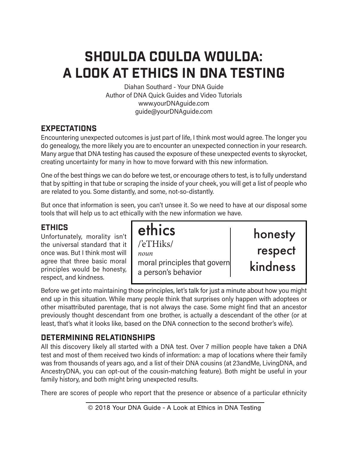# Shoulda Coulda Woulda: A Look at Ethics in DNA TEsting

Diahan Southard - Your DNA Guide Author of DNA Quick Guides and Video Tutorials www.yourDNAguide.com guide@yourDNAguide.com

# **EXPECTATIONS**

Encountering unexpected outcomes is just part of life, I think most would agree. The longer you do genealogy, the more likely you are to encounter an unexpected connection in your research. Many argue that DNA testing has caused the exposure of these unexpected events to skyrocket, creating uncertainty for many in how to move forward with this new information.

One of the best things we can do before we test, or encourage others to test, is to fully understand that by spitting in that tube or scraping the inside of your cheek, you will get a list of people who are related to you. Some distantly, and some, not-so-distantly.

But once that information is seen, you can't unsee it. So we need to have at our disposal some tools that will help us to act ethically with the new information we have.

### Ethics

Unfortunately, morality isn't the universal standard that it once was. But I think most will agree that three basic moral principles would be honesty, respect, and kindness.

ethics /'eTHiks/ *noun* moral principles that govern a person's behavior

honesty respect kindness

Before we get into maintaining those principles, let's talk for just a minute about how you might end up in this situation. While many people think that surprises only happen with adoptees or other misattributed parentage, that is not always the case. Some might find that an ancestor previously thought descendant from one brother, is actually a descendant of the other (or at least, that's what it looks like, based on the DNA connection to the second brother's wife).

# Determining Relationships

All this discovery likely all started with a DNA test. Over 7 million people have taken a DNA test and most of them received two kinds of information: a map of locations where their family was from thousands of years ago, and a list of their DNA cousins (at 23andMe, LivingDNA, and AncestryDNA, you can opt-out of the cousin-matching feature). Both might be useful in your family history, and both might bring unexpected results.

There are scores of people who report that the presence or absence of a particular ethnicity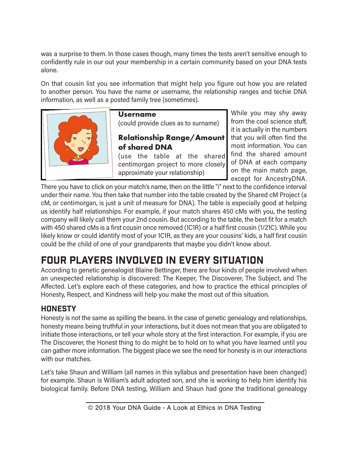was a surprise to them. In those cases though, many times the tests aren't sensitive enough to confidently rule in our out your membership in a certain community based on your DNA tests alone.

On that cousin list you see information that might help you figure out how you are related to another person. You have the name or username, the relationship ranges and techie DNA information, as well as a posted family tree (sometimes).



**Username** (could provide clues as to surname)

#### **Relationship Range/Amount of shared DNA**

(use the table at the shared centimorgan project to more closely approximate your relationship)

While you may shy away from the cool science stuff, it is actually in the numbers that you will often find the most information. You can find the shared amount of DNA at each company on the main match page, except for AncestryDNA.

There you have to click on your match's name, then on the little "i" next to the confidence interval under their name. You then take that number into the table created by the Shared cM Project (a cM, or centimorgan, is just a unit of measure for DNA). The table is especially good at helping us identify half relationships. For example, if your match shares 450 cMs with you, the testing company will likely call them your 2nd cousin. But according to the table, the best fit for a match with 450 shared cMs is a first cousin once removed (1C1R) or a half first cousin (1/21C). While you likely know or could identify most of your 1C1R, as they are your cousins' kids, a half first cousin could be the child of one of your grandparents that maybe you didn't know about.

# Four Players Involved in Every Situation

According to genetic genealogist Blaine Bettinger, there are four kinds of people involved when an unexpected relationship is discovered: The Keeper, The Discoverer, The Subject, and The Affected. Let's explore each of these categories, and how to practice the ethical principles of Honesty, Respect, and Kindness will help you make the most out of this situation.

# **HONESTY**

Honesty is not the same as spilling the beans. In the case of genetic genealogy and relationships, honesty means being truthful in your interactions, but it does not mean that you are obligated to initiate those interactions, or tell your whole story at the first interaction. For example, if you are The Discoverer, the Honest thing to do might be to hold on to what you have learned until you can gather more information. The biggest place we see the need for honesty is in our interactions with our matches.

Let's take Shaun and William (all names in this syllabus and presentation have been changed) for example. Shaun is William's adult adopted son, and she is working to help him identify his biological family. Before DNA testing, William and Shaun had gone the traditional genealogy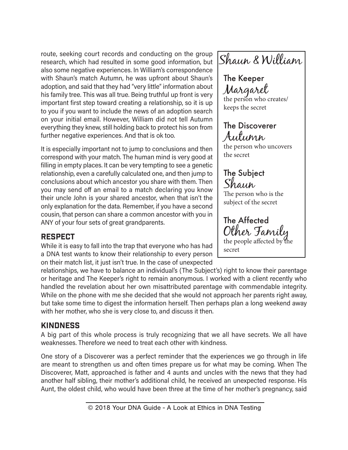route, seeking court records and conducting on the group research, which had resulted in some good information, but also some negative experiences. In William's correspondence with Shaun's match Autumn, he was upfront about Shaun's adoption, and said that they had "very little" information about his family tree. This was all true. Being truthful up front is very important first step toward creating a relationship, so it is up to you if you want to include the news of an adoption search on your initial email. However, William did not tell Autumn everything they knew, still holding back to protect his son from further negative experiences. And that is ok too.

It is especially important not to jump to conclusions and then correspond with your match. The human mind is very good at filling in empty places. It can be very tempting to see a genetic relationship, even a carefully calculated one, and then jump to conclusions about which ancestor you share with them. Then you may send off an email to a match declaring you know their uncle John is your shared ancestor, when that isn't the only explanation for the data. Remember, if you have a second cousin, that person can share a common ancestor with you in ANY of your four sets of great grandparents.

#### **RESPECT**

While it is easy to fall into the trap that everyone who has had a DNA test wants to know their relationship to every person on their match list, it just isn't true. In the case of unexpected

The Keeper Margaret the person who creates/ keeps the secret The Discoverer Autumn the person who uncovers the secret The Subject Shaun The person who is the subject of the secret The Affected Other Family the people affected by the secret Shaun & William

relationships, we have to balance an individual's (The Subject's) right to know their parentage or heritage and The Keeper's right to remain anonymous. I worked with a client recently who handled the revelation about her own misattributed parentage with commendable integrity. While on the phone with me she decided that she would not approach her parents right away, but take some time to digest the information herself. Then perhaps plan a long weekend away with her mother, who she is very close to, and discuss it then.

# **KINDNESS**

A big part of this whole process is truly recognizing that we all have secrets. We all have weaknesses. Therefore we need to treat each other with kindness.

One story of a Discoverer was a perfect reminder that the experiences we go through in life are meant to strengthen us and often times prepare us for what may be coming. When The Discoverer, Matt, approached is father and 4 aunts and uncles with the news that they had another half sibling, their mother's additional child, he received an unexpected response. His Aunt, the oldest child, who would have been three at the time of her mother's pregnancy, said